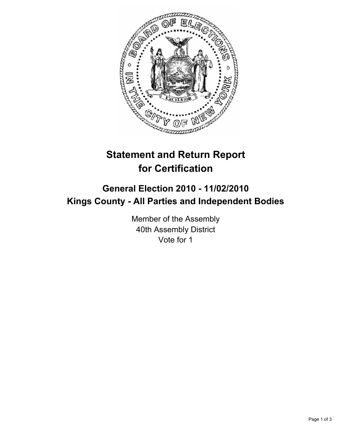

# **Statement and Return Report for Certification**

## **General Election 2010 - 11/02/2010 Kings County - All Parties and Independent Bodies**

Member of the Assembly 40th Assembly District Vote for 1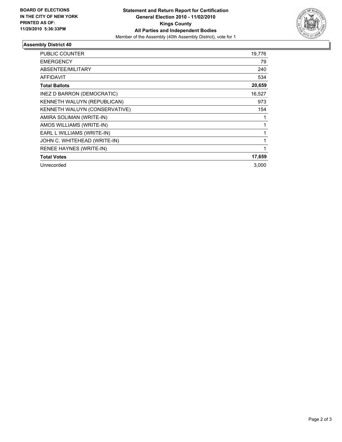

### **Assembly District 40**

| PUBLIC COUNTER                 | 19,776       |
|--------------------------------|--------------|
| <b>EMERGENCY</b>               | 79           |
| <b>ABSENTEE/MILITARY</b>       | 240          |
| <b>AFFIDAVIT</b>               | 534          |
| <b>Total Ballots</b>           | 20,659       |
| INEZ D BARRON (DEMOCRATIC)     | 16,527       |
| KENNETH WALUYN (REPUBLICAN)    | 973          |
| KENNETH WALUYN (CONSERVATIVE)  | 154          |
| AMIRA SOLIMAN (WRITE-IN)       | 1            |
| AMOS WILLIAMS (WRITE-IN)       | 1            |
| EARL L WILLIAMS (WRITE-IN)     | $\mathbf{1}$ |
| JOHN C. WHITEHEAD (WRITE-IN)   | 1            |
| <b>RENEE HAYNES (WRITE-IN)</b> | 1            |
| <b>Total Votes</b>             | 17,659       |
| Unrecorded                     | 3,000        |